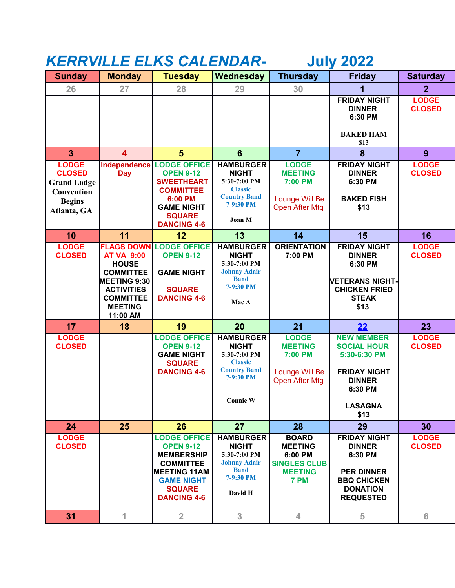## *KERRVILLE ELKS CALENDAR***- July 2022**

| <b>Sunday</b>                                                                                     | <b>Monday</b>                                                                                                                                       | <b>Tuesday</b>                                                                                                                                                      | Wednesday                                                                                                                 | <b>Thursday</b>                                                                            | <b>Friday</b>                                                                                                                        | <b>Saturday</b>               |
|---------------------------------------------------------------------------------------------------|-----------------------------------------------------------------------------------------------------------------------------------------------------|---------------------------------------------------------------------------------------------------------------------------------------------------------------------|---------------------------------------------------------------------------------------------------------------------------|--------------------------------------------------------------------------------------------|--------------------------------------------------------------------------------------------------------------------------------------|-------------------------------|
| 26                                                                                                | 27                                                                                                                                                  | 28                                                                                                                                                                  | 29                                                                                                                        | 30                                                                                         | 1                                                                                                                                    | 2 <sup>2</sup>                |
|                                                                                                   |                                                                                                                                                     |                                                                                                                                                                     |                                                                                                                           |                                                                                            | <b>FRIDAY NIGHT</b><br><b>DINNER</b><br>6:30 PM<br><b>BAKED HAM</b><br>\$13                                                          | <b>LODGE</b><br><b>CLOSED</b> |
| 3                                                                                                 | $\overline{\mathbf{4}}$                                                                                                                             | 5                                                                                                                                                                   | $6\phantom{1}$                                                                                                            | $\overline{7}$                                                                             | 8                                                                                                                                    | 9                             |
| <b>LODGE</b><br><b>CLOSED</b><br><b>Grand Lodge</b><br>Convention<br><b>Begins</b><br>Atlanta, GA | Independence<br><b>Day</b>                                                                                                                          | <b>LODGE OFFICE</b><br><b>OPEN 9-12</b><br><b>SWEETHEART</b><br><b>COMMITTEE</b><br>6:00 PM<br><b>GAME NIGHT</b><br><b>SQUARE</b><br><b>DANCING 4-6</b>             | <b>HAMBURGER</b><br><b>NIGHT</b><br>5:30-7:00 PM<br><b>Classic</b><br><b>Country Band</b><br>7-9:30 PM<br>Joan M          | <b>LODGE</b><br><b>MEETING</b><br>7:00 PM<br>Lounge Will Be<br><b>Open After Mtg</b>       | <b>FRIDAY NIGHT</b><br><b>DINNER</b><br>6:30 PM<br><b>BAKED FISH</b><br>\$13                                                         | <b>LODGE</b><br><b>CLOSED</b> |
| 10                                                                                                | 11                                                                                                                                                  | 12                                                                                                                                                                  | 13                                                                                                                        | 14                                                                                         | 15                                                                                                                                   | 16                            |
| <b>LODGE</b><br><b>CLOSED</b>                                                                     | <b>AT VA 9:00</b><br><b>HOUSE</b><br><b>COMMITTEE</b><br><b>MEETING 9:30</b><br><b>ACTIVITIES</b><br><b>COMMITTEE</b><br><b>MEETING</b><br>11:00 AM | <b>FLAGS DOWN LODGE OFFICE</b><br><b>OPEN 9-12</b><br><b>GAME NIGHT</b><br><b>SQUARE</b><br><b>DANCING 4-6</b>                                                      | <b>HAMBURGER</b><br><b>NIGHT</b><br>5:30-7:00 PM<br><b>Johnny Adair</b><br><b>Band</b><br>7-9:30 PM<br>Mac A              | <b>ORIENTATION</b><br>7:00 PM                                                              | <b>FRIDAY NIGHT</b><br><b>DINNER</b><br>6:30 PM<br><b>NETERANS NIGHT-</b><br><b>CHICKEN FRIED</b><br><b>STEAK</b><br>\$13            | <b>LODGE</b><br><b>CLOSED</b> |
| 17                                                                                                | 18                                                                                                                                                  | 19                                                                                                                                                                  | 20                                                                                                                        | 21                                                                                         | 22                                                                                                                                   | 23                            |
| <b>LODGE</b><br><b>CLOSED</b>                                                                     |                                                                                                                                                     | <b>LODGE OFFICE</b><br><b>OPEN 9-12</b><br><b>GAME NIGHT</b><br><b>SQUARE</b><br><b>DANCING 4-6</b>                                                                 | <b>HAMBURGER</b><br><b>NIGHT</b><br>5:30-7:00 PM<br><b>Classic</b><br><b>Country Band</b><br>7-9:30 PM<br><b>Connie W</b> | <b>LODGE</b><br><b>MEETING</b><br>7:00 PM<br>Lounge Will Be<br>Open After Mtg              | <b>NEW MEMBER</b><br><b>SOCIAL HOUR</b><br>5:30-6:30 PM<br><b>FRIDAY NIGHT</b><br><b>DINNER</b><br>6:30 PM<br><b>LASAGNA</b><br>\$13 | <b>LODGE</b><br><b>CLOSED</b> |
| 24                                                                                                | 25                                                                                                                                                  | 26                                                                                                                                                                  | 27                                                                                                                        | 28                                                                                         | 29                                                                                                                                   | 30                            |
| <b>LODGE</b><br><b>CLOSED</b>                                                                     |                                                                                                                                                     | <b>LODGE OFFICE</b><br><b>OPEN 9-12</b><br><b>MEMBERSHIP</b><br><b>COMMITTEE</b><br><b>MEETING 11AM</b><br><b>GAME NIGHT</b><br><b>SQUARE</b><br><b>DANCING 4-6</b> | <b>HAMBURGER</b><br><b>NIGHT</b><br>5:30-7:00 PM<br><b>Johnny Adair</b><br><b>Band</b><br>7-9:30 PM<br>David H            | <b>BOARD</b><br><b>MEETING</b><br>6:00 PM<br><b>SINGLES CLUB</b><br><b>MEETING</b><br>7 PM | <b>FRIDAY NIGHT</b><br><b>DINNER</b><br>6:30 PM<br><b>PER DINNER</b><br><b>BBQ CHICKEN</b><br><b>DONATION</b><br><b>REQUESTED</b>    | <b>LODGE</b><br><b>CLOSED</b> |
| 31                                                                                                | $\mathbf{1}$                                                                                                                                        | $\overline{2}$                                                                                                                                                      | 3 <sup>1</sup>                                                                                                            | $\overline{4}$                                                                             | 5                                                                                                                                    | 6                             |